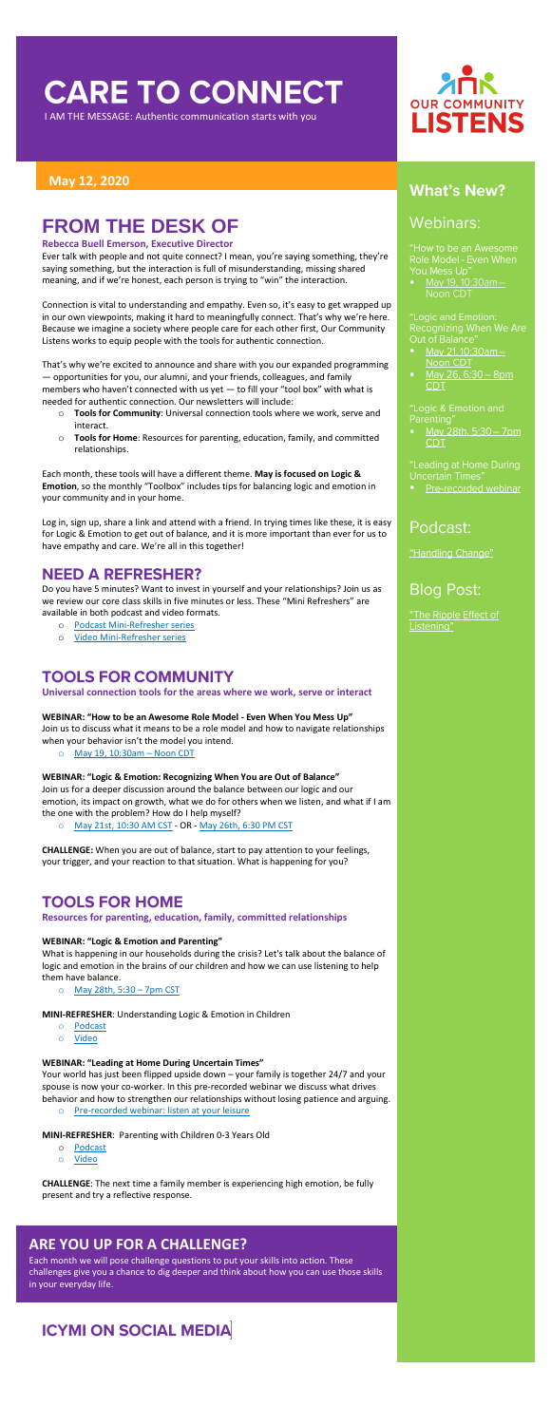## **CARE TO CONNECT**

I AM THE MESSAGE: Authentic communication starts with you

#### **May 12, 2020**

## **FROM THE DESK OF**

#### **Rebecca Buell Emerson, Executive Director**

Ever talk with people and not quite connect? I mean, you're saying something, they're saying something, but the interaction is full of misunderstanding, missing shared meaning, and if we're honest, each person is trying to "win" the interaction.

Connection is vital to understanding and empathy. Even so, it's easy to get wrapped up in our own viewpoints, making it hard to meaningfully connect. That's why we're here. Because we imagine a society where people care for each other first, Our Community Listens works to equip people with the tools for authentic connection.

That's why we're excited to announce and share with you our expanded programming — opportunities for you, our alumni, and your friends, colleagues, and family members who haven't connected with us yet — to fill your "tool box" with what is needed for authentic connection. Our newsletters will include:

- o **Tools for Community**: Universal connection tools where we work, serve and interact.
- o **Tools for Home**: Resources for parenting, education, family, and committed relationships.

Each month, these tools will have a different theme. **May is focused on Logic & Emotion**, so the monthly "Toolbox" includes tips for balancing logic and emotion in your community and in your home.

Log in, sign up, share a link and attend with a friend. In trying times like these, it is easy for Logic & Emotion to get out of balance, and it is more important than ever for us to have empathy and care. We're all in this together!

## **NEED A REFRESHER?**

Do you have 5 minutes? Want to invest in yourself and your relationships? Join us as we review our core class skills in five minutes or less. These "Mini Refreshers" are available in both podcast and video formats.

- o **Podcast**
- o [Video](https://youtu.be/cZqw-RY0zdc)
- o [Podcast Mini-Refresher series](https://soundcloud.com/ourcommunitylistens/sets/mini-refresher-series)
- o [Video Mini-Refresher series](https://www.youtube.com/playlist?list=PLIBPLMYK-UNAGWXszLAHocwOWc90h7rgS)

## **TOOLS FOR COMMUNITY**

**Universal connection tools for the areas where we work, serve or interact**

#### **WEBINAR: "How to be an Awesome Role Model - Even When You Mess Up"**

Join us to discuss what it means to be a role model and how to navigate relationships when your behavior isn't the model you intend.

o [May 19, 10:30am](https://us02web.zoom.us/meeting/register/tJElduyqrjkoHN0CTclVOb75dINvHzUhf2yF) – Noon CDT

#### **WEBINAR: "Logic & Emotion: Recognizing When You are Out of Balance"**

Join us for a deeper discussion around the balance between our logic and our emotion, its impact on growth, what we do for others when we listen, and what if I am

# **OUR COMMUNITY LISTENS**

## **What's New?**

## **Webinars:**

"How to be an Awesome Role Model - Even When You Mess Up"

May 19, 10:30am -Noon CDT

"Logic and Emotion: Recognizing When We Are Out of Balance

- May 21, 10:30am -Noon CDT
- May 26, 6:30 8pm **CDT**

"Logic & Emotion and Parenting<sup>®</sup>

May 28th, 5:30 - 7pm CDT.

"Leading at Home During Uncertain Times"

• Pre-recorded webinar

## Podcast:

"Handling Change"

**Blog Post:** 

"The Ripple Effect of Listening"

the one with the problem? How do I help myself?

o [May 21st, 10:30 AM CST](https://attendee.gototraining.com/r/4721875081338355458) - OR - [May 26th, 6:30 PM CST](https://attendee.gototraining.com/r/4928451325964984066)

**CHALLENGE:** When you are out of balance, start to pay attention to your feelings, your trigger, and your reaction to that situation. What is happening for you?

### **TOOLS FOR HOME**

#### **Resources for parenting, education, family, committed relationships**

#### **WEBINAR: "Logic & Emotion and Parenting"**

What is happening in our households during the crisis? Let's talk about the balance of logic and emotion in the brains of our children and how we can use listening to help them have balance.

o [May 28th, 5:30](https://attendee.gototraining.com/r/2501212338466684417) – 7pm CST

**MINI-REFRESHER**: Understanding Logic & Emotion in Children

- o [Podcast](https://soundcloud.com/ourcommunitylistens/mini-refresher-listening-while-parenting?in=ourcommunitylistens/sets/mini-refresher-series)
- o [Video](https://www.youtube.com/watch?v=dq9oBH2gMfs&feature=youtu.be)

#### **WEBINAR: "Leading at Home During Uncertain Times"**

Your world has just been flipped upside down – your family is together 24/7 and your spouse is now your co-worker. In this pre-recorded webinar we discuss what drives behavior and how to strengthen our relationships without losing patience and arguing.

o [Pre-recorded webinar: listen at your leisure](https://www.youtube.com/watch?v=TIhD166byPQ&feature=youtu.be)

#### **MINI-REFRESHER**: Parenting with Children 0-3 Years Old

**CHALLENGE**: The next time a family member is experiencing high emotion, be fully present and try a reflective response.

#### **ARE YOU UP FOR A CHALLENGE?**

Each month we will pose challenge questions to put your skills into action. These challenges give you a chance to dig deeper and think about how you can use those skills in your everyday life.

## **ICYMI ON SOCIAL MEDIA**